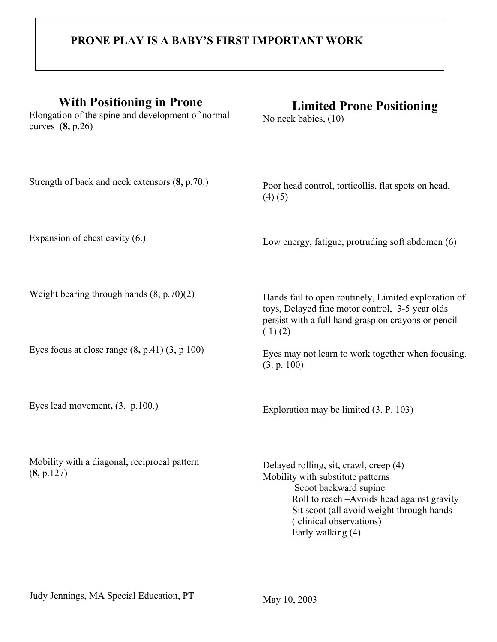## **PRONE PLAY IS A BABY'S FIRST IMPORTANT WORK**

| <b>With Positioning in Prone</b><br>Elongation of the spine and development of normal<br>curves $(8, p.26)$ | <b>Limited Prone Positioning</b><br>No neck babies, (10)                                                                                                                                                                                        |
|-------------------------------------------------------------------------------------------------------------|-------------------------------------------------------------------------------------------------------------------------------------------------------------------------------------------------------------------------------------------------|
| Strength of back and neck extensors (8, p.70.)                                                              | Poor head control, torticollis, flat spots on head,<br>(4)(5)                                                                                                                                                                                   |
| Expansion of chest cavity $(6.)$                                                                            | Low energy, fatigue, protruding soft abdomen (6)                                                                                                                                                                                                |
| Weight bearing through hands $(8, p.70)(2)$                                                                 | Hands fail to open routinely, Limited exploration of<br>toys, Delayed fine motor control, 3-5 year olds<br>persist with a full hand grasp on crayons or pencil<br>(1)(2)                                                                        |
| Eyes focus at close range $(8, p.41)$ $(3, p.100)$                                                          | Eyes may not learn to work together when focusing.<br>(3. p. 100)                                                                                                                                                                               |
| Eyes lead movement, $(3. p.100.)$                                                                           | Exploration may be limited (3. P. 103)                                                                                                                                                                                                          |
| Mobility with a diagonal, reciprocal pattern<br>(8, p.127)                                                  | Delayed rolling, sit, crawl, creep (4)<br>Mobility with substitute patterns<br>Scoot backward supine<br>Roll to reach -Avoids head against gravity<br>Sit scoot (all avoid weight through hands<br>(clinical observations)<br>Early walking (4) |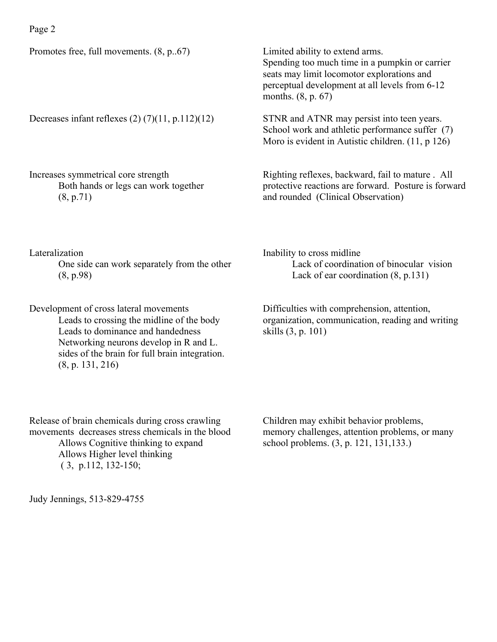Promotes free, full movements. (8, p..67)

Decreases infant reflexes  $(2)$   $(7)(11, p.112)(12)$ 

Increases symmetrical core strength Both hands or legs can work together (8, p.71)

Limited ability to extend arms. Spending too much time in a pumpkin or carrier seats may limit locomotor explorations and perceptual development at all levels from 6-12 months. (8, p. 67)

STNR and ATNR may persist into teen years. School work and athletic performance suffer (7) Moro is evident in Autistic children. (11, p 126)

Righting reflexes, backward, fail to mature . All protective reactions are forward. Posture is forward and rounded (Clinical Observation)

Lateralization

One side can work separately from the other (8, p.98)

Development of cross lateral movements Leads to crossing the midline of the body Leads to dominance and handedness Networking neurons develop in R and L. sides of the brain for full brain integration. (8, p. 131, 216)

Inability to cross midline Lack of coordination of binocular vision Lack of ear coordination (8, p.131)

Difficulties with comprehension, attention, organization, communication, reading and writing skills (3, p. 101)

Release of brain chemicals during cross crawling movements decreases stress chemicals in the blood Allows Cognitive thinking to expand Allows Higher level thinking ( 3, p.112, 132-150;

Children may exhibit behavior problems, memory challenges, attention problems, or many school problems. (3, p. 121, 131,133.)

Judy Jennings, 513-829-4755